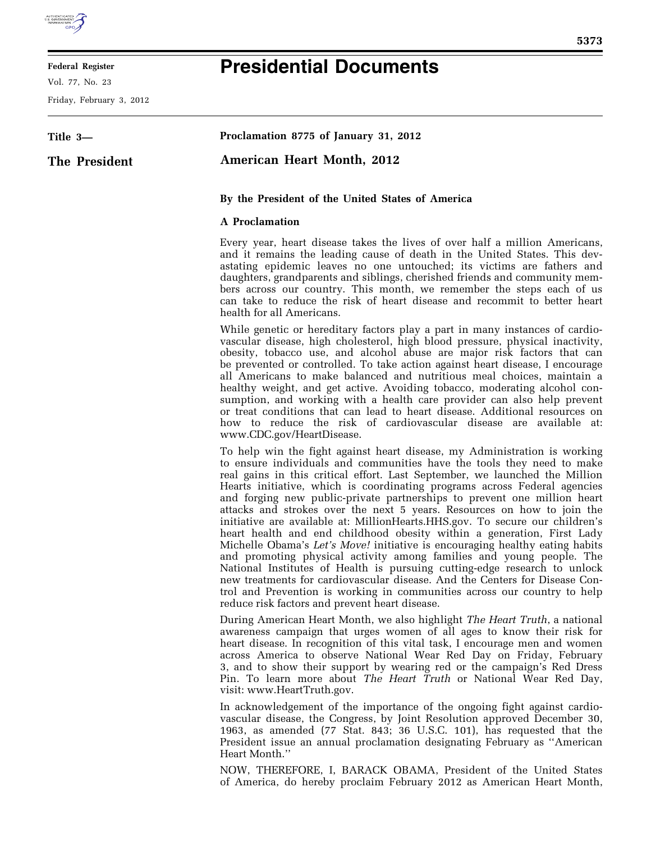

## **Federal Register**

Vol. 77, No. 23

Friday, February 3, 2012

## **Presidential Documents**

| Title 3-      | Proclamation 8775 of January 31, 2012                                                                                                                                                                                                                                                                                                                                                                                                                                                                                                                                                                                                                                                                                                                                                                                                                                                                                                                                                                                                                                              |
|---------------|------------------------------------------------------------------------------------------------------------------------------------------------------------------------------------------------------------------------------------------------------------------------------------------------------------------------------------------------------------------------------------------------------------------------------------------------------------------------------------------------------------------------------------------------------------------------------------------------------------------------------------------------------------------------------------------------------------------------------------------------------------------------------------------------------------------------------------------------------------------------------------------------------------------------------------------------------------------------------------------------------------------------------------------------------------------------------------|
| The President | <b>American Heart Month, 2012</b>                                                                                                                                                                                                                                                                                                                                                                                                                                                                                                                                                                                                                                                                                                                                                                                                                                                                                                                                                                                                                                                  |
|               | By the President of the United States of America                                                                                                                                                                                                                                                                                                                                                                                                                                                                                                                                                                                                                                                                                                                                                                                                                                                                                                                                                                                                                                   |
|               | <b>A</b> Proclamation                                                                                                                                                                                                                                                                                                                                                                                                                                                                                                                                                                                                                                                                                                                                                                                                                                                                                                                                                                                                                                                              |
|               | Every year, heart disease takes the lives of over half a million Americans,<br>and it remains the leading cause of death in the United States. This dev-<br>astating epidemic leaves no one untouched; its victims are fathers and<br>daughters, grandparents and siblings, cherished friends and community mem-<br>bers across our country. This month, we remember the steps each of us<br>can take to reduce the risk of heart disease and recommit to better heart<br>health for all Americans.                                                                                                                                                                                                                                                                                                                                                                                                                                                                                                                                                                                |
|               | While genetic or hereditary factors play a part in many instances of cardio-<br>vascular disease, high cholesterol, high blood pressure, physical inactivity,<br>obesity, tobacco use, and alcohol abuse are major risk factors that can<br>be prevented or controlled. To take action against heart disease, I encourage<br>all Americans to make balanced and nutritious meal choices, maintain a<br>healthy weight, and get active. Avoiding tobacco, moderating alcohol con-<br>sumption, and working with a health care provider can also help prevent<br>or treat conditions that can lead to heart disease. Additional resources on<br>how to reduce the risk of cardiovascular disease are available at:<br>www.CDC.gov/HeartDisease.                                                                                                                                                                                                                                                                                                                                      |
|               | To help win the fight against heart disease, my Administration is working<br>to ensure individuals and communities have the tools they need to make<br>real gains in this critical effort. Last September, we launched the Million<br>Hearts initiative, which is coordinating programs across Federal agencies<br>and forging new public-private partnerships to prevent one million heart<br>attacks and strokes over the next 5 years. Resources on how to join the<br>initiative are available at: MillionHearts.HHS.gov. To secure our children's<br>heart health and end childhood obesity within a generation, First Lady<br>Michelle Obama's Let's Move! initiative is encouraging healthy eating habits<br>and promoting physical activity among families and young people. The<br>National Institutes of Health is pursuing cutting-edge research to unlock<br>new treatments for cardiovascular disease. And the Centers for Disease Con-<br>trol and Prevention is working in communities across our country to help<br>reduce risk factors and prevent heart disease. |
|               | During American Heart Month, we also highlight The Heart Truth, a national<br>awareness campaign that urges women of all ages to know their risk for<br>heart disease. In recognition of this vital task, I encourage men and women<br>across America to observe National Wear Red Day on Friday, February<br>3, and to show their support by wearing red or the campaign's Red Dress<br>Pin. To learn more about The Heart Truth or National Wear Red Day,<br>visit: www.HeartTruth.gov.                                                                                                                                                                                                                                                                                                                                                                                                                                                                                                                                                                                          |
|               | In acknowledgement of the importance of the ongoing fight against cardio-<br>vascular disease, the Congress, by Joint Resolution approved December 30,                                                                                                                                                                                                                                                                                                                                                                                                                                                                                                                                                                                                                                                                                                                                                                                                                                                                                                                             |

1963, as amended (77 Stat. 843; 36 U.S.C. 101), has requested that the President issue an annual proclamation designating February as ''American Heart Month.''

NOW, THEREFORE, I, BARACK OBAMA, President of the United States of America, do hereby proclaim February 2012 as American Heart Month,